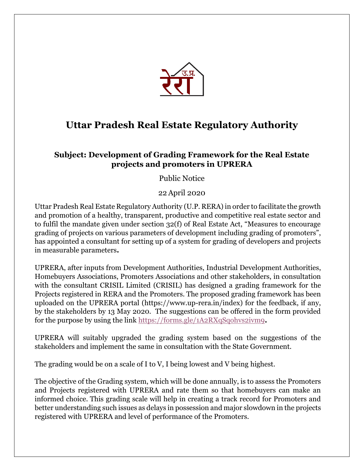

## **Uttar Pradesh Real Estate Regulatory Authority**

## **Subject: Development of Grading Framework for the Real Estate projects and promoters in UPRERA**

Public Notice

22April 2020

Uttar Pradesh Real Estate Regulatory Authority (U.P. RERA) in order to facilitate the growth and promotion of a healthy, transparent, productive and competitive real estate sector and to fulfil the mandate given under section 32(f) of Real Estate Act, "Measures to encourage grading of projects on various parameters of development including grading of promoters", has appointed a consultant for setting up of a system for grading of developers and projects in measurable parameters**.**

UPRERA, after inputs from Development Authorities, Industrial Development Authorities, Homebuyers Associations, Promoters Associations and other stakeholders, in consultation with the consultant CRISIL Limited (CRISIL) has designed a grading framework for the Projects registered in RERA and the Promoters. The proposed grading framework has been uploaded on the UPRERA portal (https://www.up-rera.in/index) for the feedback, if any, by the stakeholders by 13 May 2020. The suggestions can be offered in the form provided for the purpose by using the link <https://forms.gle/1A2RXqSqohvs2ivm9>**.**

UPRERA will suitably upgraded the grading system based on the suggestions of the stakeholders and implement the same in consultation with the State Government.

The grading would be on a scale of I to V, I being lowest and V being highest.

The objective of the Grading system, which will be done annually, is to assess the Promoters and Projects registered with UPRERA and rate them so that homebuyers can make an informed choice. This grading scale will help in creating a track record for Promoters and better understanding such issues as delays in possession and major slowdown in the projects registered with UPRERA and level of performance of the Promoters.